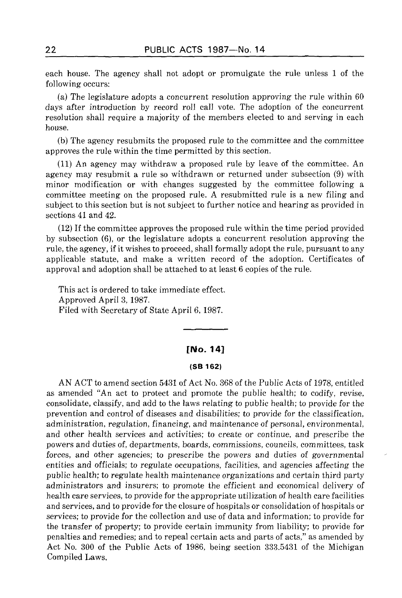each house. The agency shall not adopt or promulgate the rule unless 1 of the following occurs:

(a) The legislature adopts a concurrent resolution approving the rule within 60 days after introduction by record roll call vote. The adoption of the concurrent resolution shall require a majority of the members elected to and serving in each house.

(b) The agency resubmits the proposed rule to the committee and the committee approves the rule within the time permitted by this section.

(11) An agency may withdraw a proposed rule by leave of the committee. An agency may resubmit a rule so withdrawn or returned under subsection (9) with minor modification or with changes suggested by the committee following a committee meeting on the proposed rule. A resubmitted rule is a new filing and subject to this section but is not subject to further notice and hearing as provided in sections 41 and 42.

(12) If the committee approves the proposed rule within the time period provided by subsection (6), or the legislature adopts a concurrent resolution approving the rule, the agency, if it wishes to proceed, shall formally adopt the rule, pursuant to any applicable statute, and make a written record of the adoption. Certificates of approval and adoption shall be attached to at least 6 copies of the rule.

This act is ordered to take immediate effect. Approved April 3, 1987. Filed with Secretary of State April 6, 1987.

## [No. 14]

#### **(SB 162)**

AN ACT to amend section 5431 of Act No. 368 of the Public Acts of 1978, entitled as amended "An act to protect and promote the public health; to codify, revise, consolidate, classify, and add to the laws relating to public health; to provide for the prevention and control of diseases and disabilities; to provide for the classification, administration, regulation, financing, and maintenance of personal, environmental, and other health services and activities; to create or continue, and prescribe the powers and duties of, departments, boards, commissions, councils, committees, task forces, and other agencies; to prescribe the powers and duties of governmental entities and officials; to regulate occupations, facilities, and agencies affecting the public health; to regulate health maintenance organizations and certain third party administrators and insurers; to promote the efficient and economical delivery of health care services, to provide for the appropriate utilization of health care facilities and services, and to provide for the closure of hospitals or consolidation of hospitals or services; to provide for the collection and use of data and information; to provide for the transfer of property; to provide certain immunity from liability; to provide for penalties and remedies; and to repeal certain acts and parts of acts," as amended by Act No. 300 of the Public Acts of 1986, being section 333.5431 of the Michigan Compiled Laws.